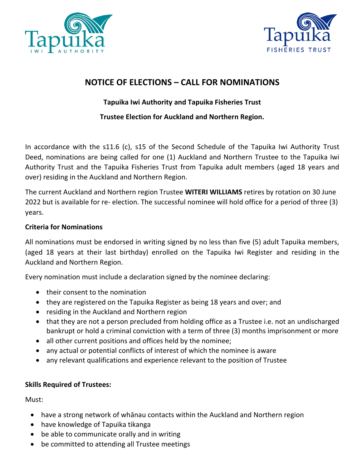



## **NOTICE OF ELECTIONS – CALL FOR NOMINATIONS**

### **Tapuika Iwi Authority and Tapuika Fisheries Trust**

**Trustee Election for Auckland and Northern Region.**

In accordance with the s11.6 (c), s15 of the Second Schedule of the Tapuika Iwi Authority Trust Deed, nominations are being called for one (1) Auckland and Northern Trustee to the Tapuika Iwi Authority Trust and the Tapuika Fisheries Trust from Tapuika adult members (aged 18 years and over) residing in the Auckland and Northern Region.

The current Auckland and Northern region Trustee **WITERI WILLIAMS** retires by rotation on 30 June 2022 but is available for re- election. The successful nominee will hold office for a period of three (3) years.

#### **Criteria for Nominations**

All nominations must be endorsed in writing signed by no less than five (5) adult Tapuika members, (aged 18 years at their last birthday) enrolled on the Tapuika Iwi Register and residing in the Auckland and Northern Region.

Every nomination must include a declaration signed by the nominee declaring:

- their consent to the nomination
- they are registered on the Tapuika Register as being 18 years and over; and
- residing in the Auckland and Northern region
- that they are not a person precluded from holding office as a Trustee i.e. not an undischarged bankrupt or hold a criminal conviction with a term of three (3) months imprisonment or more
- all other current positions and offices held by the nominee;
- any actual or potential conflicts of interest of which the nominee is aware
- any relevant qualifications and experience relevant to the position of Trustee

#### **Skills Required of Trustees:**

Must:

- have a strong network of whānau contacts within the Auckland and Northern region
- have knowledge of Tapuika tikanga
- be able to communicate orally and in writing
- be committed to attending all Trustee meetings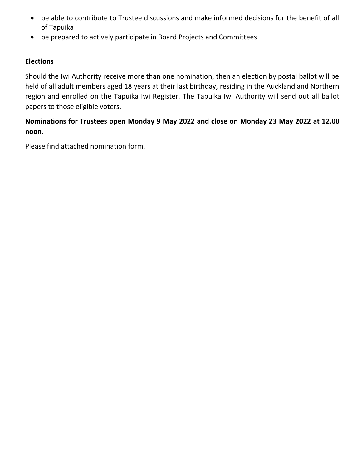- be able to contribute to Trustee discussions and make informed decisions for the benefit of all of Tapuika
- be prepared to actively participate in Board Projects and Committees

#### **Elections**

Should the Iwi Authority receive more than one nomination, then an election by postal ballot will be held of all adult members aged 18 years at their last birthday, residing in the Auckland and Northern region and enrolled on the Tapuika Iwi Register. The Tapuika Iwi Authority will send out all ballot papers to those eligible voters.

### **Nominations for Trustees open Monday 9 May 2022 and close on Monday 23 May 2022 at 12.00 noon.**

Please find attached nomination form.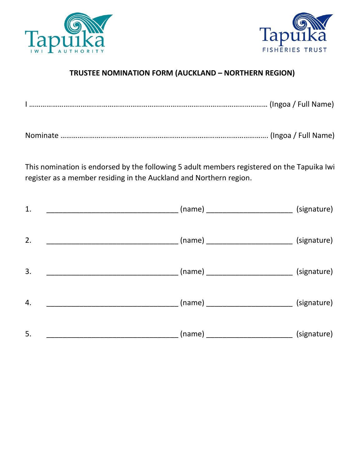



## **TRUSTEE NOMINATION FORM (AUCKLAND – NORTHERN REGION)**

|--|--|--|

This nomination is endorsed by the following 5 adult members registered on the Tapuika Iwi register as a member residing in the Auckland and Northern region.

| 1. | ____ (name) ____________________________                                              | (signature)                                            |
|----|---------------------------------------------------------------------------------------|--------------------------------------------------------|
| 2. |                                                                                       |                                                        |
| 3. | ____________________________________(name) _______________________________(signature) |                                                        |
| 4. |                                                                                       |                                                        |
| 5. |                                                                                       | $(name)$ _________________________________ (signature) |